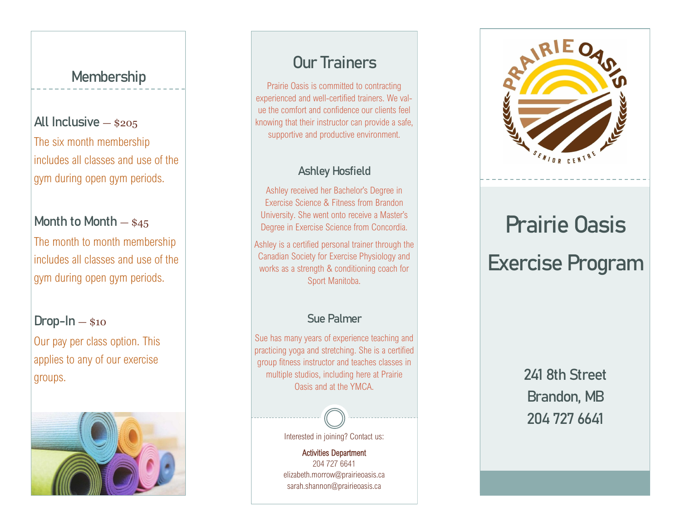### **Membership**

## **All Inclusive** — \$205

The six month membership includes all classes and use of the gym during open gym periods.

#### **Month to Month** — \$45

The month to month membership includes all classes and use of the gym during open gym periods.

#### **Drop-In** — \$10

Our pay per class option. This applies to any of our exercise groups.



# **Our Trainers**

Prairie Oasis is committed to contracting experienced and well-certified trainers. We value the comfort and confidence our clients feel knowing that their instructor can provide a safe, supportive and productive environment.

#### **Ashley Hosfield**

Ashley received her Bachelor's Degree in Exercise Science & Fitness from Brandon University. She went onto receive a Master's Degree in Exercise Science from Concordia.

Ashley is a certified personal trainer through the Canadian Society for Exercise Physiology and works as a strength & conditioning coach for Sport Manitoba.

#### **Sue Palmer**

Sue has many years of experience teaching and practicing yoga and stretching. She is a certified group fitness instructor and teaches classes in multiple studios, including here at Prairie Oasis and at the YMCA.



Activities Department 204 727 6641

elizabeth.morrow@prairieoasis.ca sarah.shannon@prairieoasis.ca



# **Prairie Oasis Exercise Program**

**241 8th Street Brandon, MB 204 727 6641**